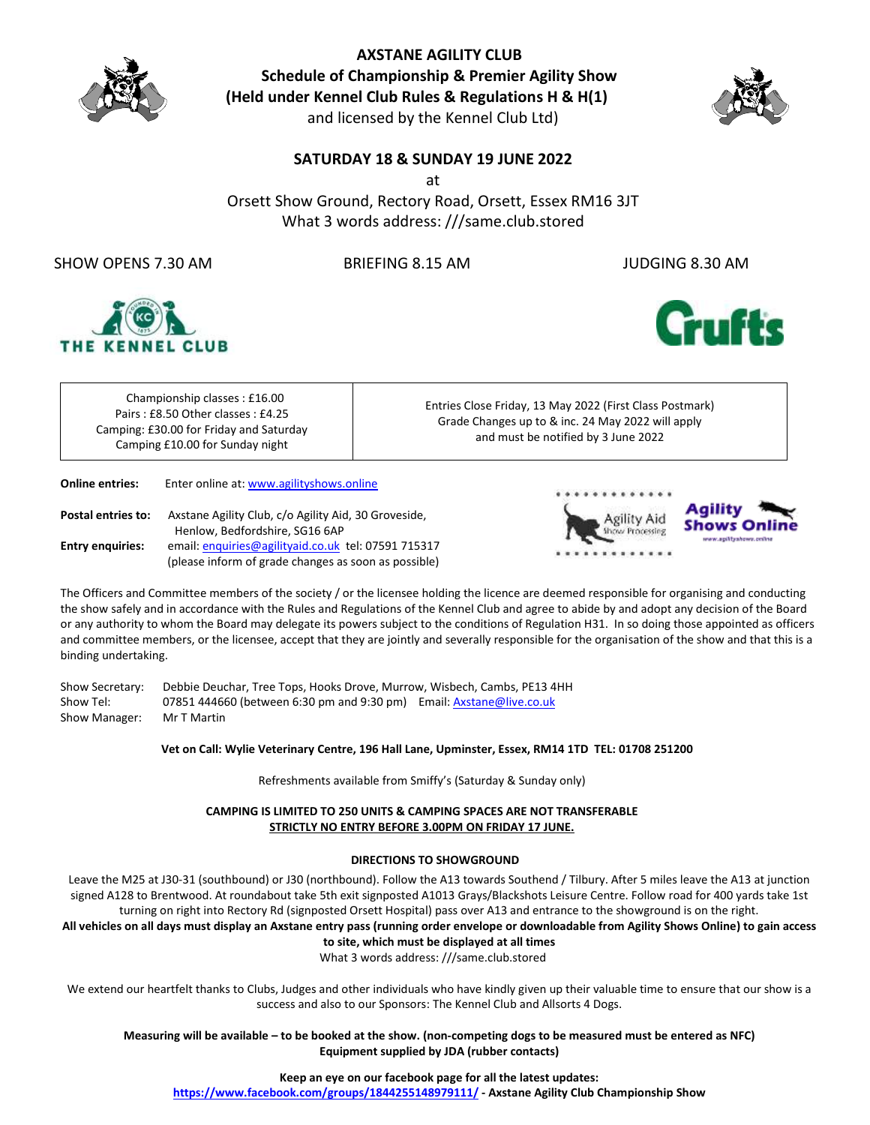

**AXSTANE AGILITY CLUB Schedule of Championship & Premier Agility Show (Held under Kennel Club Rules & Regulations H & H(1)** and licensed by the Kennel Club Ltd)



### **SATURDAY 18 & SUNDAY 19 JUNE 2022**

at

Orsett Show Ground, Rectory Road, Orsett, Essex RM16 3JT What 3 words address: ///same.club.stored

SHOW OPENS 7.30 AM BRIEFING 8.15 AM JUDGING 8.30 AM





Championship classes : £16.00 Pairs : £8.50 Other classes : £4.25 Camping: £30.00 for Friday and Saturday Camping £10.00 for Sunday night

Entries Close Friday, 13 May 2022 (First Class Postmark) Grade Changes up to & inc. 24 May 2022 will apply and must be notified by 3 June 2022

**Online entries:** Enter online at[: www.agilityshows.online](http://www.agilityshows.online/)

Postal entries to: Axstane Agility Club, c/o Agility Aid, 30 Groveside, Henlow, Bedfordshire, SG16 6AP Entry enquiries: email[: enquiries@agilityaid.co.uk](mailto:enquiries@agilityaid.co.uk) tel: 07591 715317 (please inform of grade changes as soon as possible)





The Officers and Committee members of the society / or the licensee holding the licence are deemed responsible for organising and conducting the show safely and in accordance with the Rules and Regulations of the Kennel Club and agree to abide by and adopt any decision of the Board or any authority to whom the Board may delegate its powers subject to the conditions of Regulation H31. In so doing those appointed as officers and committee members, or the licensee, accept that they are jointly and severally responsible for the organisation of the show and that this is a binding undertaking.

Show Secretary: Debbie Deuchar, Tree Tops, Hooks Drove, Murrow, Wisbech, Cambs, PE13 4HH Show Tel: 07851 444660 (between 6:30 pm and 9:30 pm) Email[: Axstane@live.co.uk](mailto:Axstane@live.co.uk) Show Manager: Mr T Martin

**Vet on Call: Wylie Veterinary Centre, 196 Hall Lane, Upminster, Essex, RM14 1TD TEL: 01708 251200**

Refreshments available from Smiffy's (Saturday & Sunday only)

**CAMPING IS LIMITED TO 250 UNITS & CAMPING SPACES ARE NOT TRANSFERABLE STRICTLY NO ENTRY BEFORE 3.00PM ON FRIDAY 17 JUNE.**

#### **DIRECTIONS TO SHOWGROUND**

Leave the M25 at J30-31 (southbound) or J30 (northbound). Follow the A13 towards Southend / Tilbury. After 5 miles leave the A13 at junction signed A128 to Brentwood. At roundabout take 5th exit signposted A1013 Grays/Blackshots Leisure Centre. Follow road for 400 yards take 1st turning on right into Rectory Rd (signposted Orsett Hospital) pass over A13 and entrance to the showground is on the right.

**All vehicles on all days must display an Axstane entry pass (running order envelope or downloadable from Agility Shows Online) to gain access to site, which must be displayed at all times**

What 3 words address: ///same.club.stored

We extend our heartfelt thanks to Clubs, Judges and other individuals who have kindly given up their valuable time to ensure that our show is a success and also to our Sponsors: The Kennel Club and Allsorts 4 Dogs.

**Measuring will be available – to be booked at the show. (non-competing dogs to be measured must be entered as NFC) Equipment supplied by JDA (rubber contacts)**

**Keep an eye on our facebook page for all the latest updates:**

**<https://www.facebook.com/groups/1844255148979111/> - Axstane Agility Club Championship Show**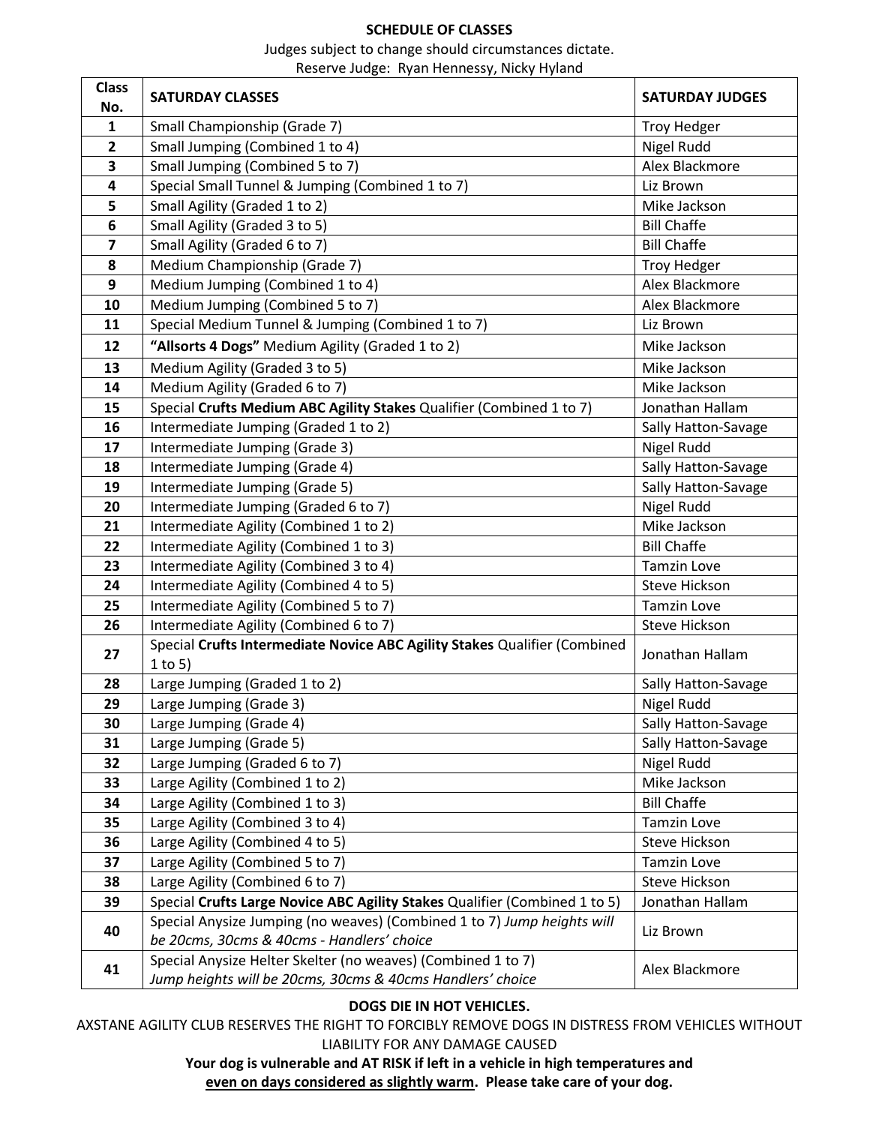### **SCHEDULE OF CLASSES**

Judges subject to change should circumstances dictate.

Reserve Judge: Ryan Hennessy, Nicky Hyland

| <b>Class</b> | <b>SATURDAY CLASSES</b>                                                                                               | <b>SATURDAY JUDGES</b> |
|--------------|-----------------------------------------------------------------------------------------------------------------------|------------------------|
| No.          |                                                                                                                       |                        |
| $\mathbf{1}$ | Small Championship (Grade 7)                                                                                          | <b>Troy Hedger</b>     |
| $\mathbf{2}$ | Small Jumping (Combined 1 to 4)                                                                                       | Nigel Rudd             |
| 3            | Small Jumping (Combined 5 to 7)                                                                                       | Alex Blackmore         |
| 4            | Special Small Tunnel & Jumping (Combined 1 to 7)                                                                      | Liz Brown              |
| 5            | Small Agility (Graded 1 to 2)                                                                                         | Mike Jackson           |
| 6            | Small Agility (Graded 3 to 5)                                                                                         | <b>Bill Chaffe</b>     |
| 7            | Small Agility (Graded 6 to 7)                                                                                         | <b>Bill Chaffe</b>     |
| 8            | Medium Championship (Grade 7)                                                                                         | <b>Troy Hedger</b>     |
| 9            | Medium Jumping (Combined 1 to 4)                                                                                      | Alex Blackmore         |
| 10           | Medium Jumping (Combined 5 to 7)                                                                                      | Alex Blackmore         |
| 11           | Special Medium Tunnel & Jumping (Combined 1 to 7)                                                                     | Liz Brown              |
| 12           | "Allsorts 4 Dogs" Medium Agility (Graded 1 to 2)                                                                      | Mike Jackson           |
| 13           | Medium Agility (Graded 3 to 5)                                                                                        | Mike Jackson           |
| 14           | Medium Agility (Graded 6 to 7)                                                                                        | Mike Jackson           |
| 15           | Special Crufts Medium ABC Agility Stakes Qualifier (Combined 1 to 7)                                                  | Jonathan Hallam        |
| 16           | Intermediate Jumping (Graded 1 to 2)                                                                                  | Sally Hatton-Savage    |
| 17           | Intermediate Jumping (Grade 3)                                                                                        | Nigel Rudd             |
| 18           | Intermediate Jumping (Grade 4)                                                                                        | Sally Hatton-Savage    |
| 19           | Intermediate Jumping (Grade 5)                                                                                        | Sally Hatton-Savage    |
| 20           | Intermediate Jumping (Graded 6 to 7)                                                                                  | Nigel Rudd             |
| 21           | Intermediate Agility (Combined 1 to 2)                                                                                | Mike Jackson           |
| 22           | Intermediate Agility (Combined 1 to 3)                                                                                | <b>Bill Chaffe</b>     |
| 23           | Intermediate Agility (Combined 3 to 4)                                                                                | <b>Tamzin Love</b>     |
| 24           | Intermediate Agility (Combined 4 to 5)                                                                                | Steve Hickson          |
| 25           | Intermediate Agility (Combined 5 to 7)                                                                                | <b>Tamzin Love</b>     |
| 26           | Intermediate Agility (Combined 6 to 7)                                                                                | Steve Hickson          |
| 27           | Special Crufts Intermediate Novice ABC Agility Stakes Qualifier (Combined                                             | Jonathan Hallam        |
|              | $1$ to 5)                                                                                                             |                        |
| 28           | Large Jumping (Graded 1 to 2)                                                                                         | Sally Hatton-Savage    |
| 29           | Large Jumping (Grade 3)                                                                                               | Nigel Rudd             |
| 30           | Large Jumping (Grade 4)                                                                                               | Sally Hatton-Savage    |
| 31           | Large Jumping (Grade 5)                                                                                               | Sally Hatton-Savage    |
| 32           | Large Jumping (Graded 6 to 7)                                                                                         | Nigel Rudd             |
| 33           | Large Agility (Combined 1 to 2)                                                                                       | Mike Jackson           |
| 34           | Large Agility (Combined 1 to 3)                                                                                       | <b>Bill Chaffe</b>     |
| 35           | Large Agility (Combined 3 to 4)                                                                                       | <b>Tamzin Love</b>     |
| 36           | Large Agility (Combined 4 to 5)                                                                                       | Steve Hickson          |
| 37           | Large Agility (Combined 5 to 7)                                                                                       | <b>Tamzin Love</b>     |
| 38           | Large Agility (Combined 6 to 7)                                                                                       | <b>Steve Hickson</b>   |
| 39           | Special Crufts Large Novice ABC Agility Stakes Qualifier (Combined 1 to 5)                                            | Jonathan Hallam        |
| 40           | Special Anysize Jumping (no weaves) (Combined 1 to 7) Jump heights will<br>be 20cms, 30cms & 40cms - Handlers' choice | Liz Brown              |
|              | Special Anysize Helter Skelter (no weaves) (Combined 1 to 7)                                                          |                        |
| 41           | Jump heights will be 20cms, 30cms & 40cms Handlers' choice                                                            | Alex Blackmore         |

### **DOGS DIE IN HOT VEHICLES.**

AXSTANE AGILITY CLUB RESERVES THE RIGHT TO FORCIBLY REMOVE DOGS IN DISTRESS FROM VEHICLES WITHOUT LIABILITY FOR ANY DAMAGE CAUSED

> **Your dog is vulnerable and AT RISK if left in a vehicle in high temperatures and even on days considered as slightly warm. Please take care of your dog.**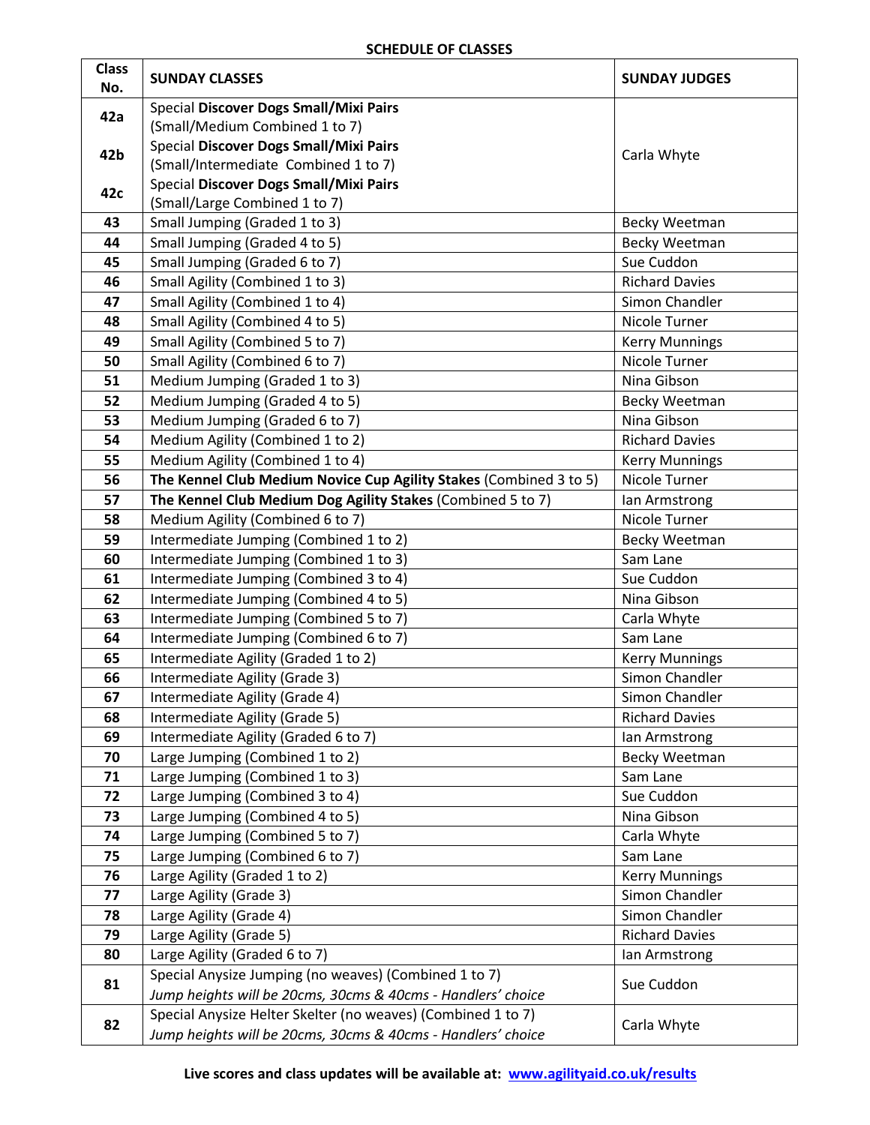### **SCHEDULE OF CLASSES**

| <b>Class</b><br>No. | <b>SUNDAY CLASSES</b>                                                                                                 | <b>SUNDAY JUDGES</b>  |  |
|---------------------|-----------------------------------------------------------------------------------------------------------------------|-----------------------|--|
|                     | <b>Special Discover Dogs Small/Mixi Pairs</b>                                                                         |                       |  |
| 42a                 | (Small/Medium Combined 1 to 7)                                                                                        |                       |  |
|                     | Special Discover Dogs Small/Mixi Pairs                                                                                |                       |  |
| 42b                 | (Small/Intermediate Combined 1 to 7)                                                                                  | Carla Whyte           |  |
|                     | Special Discover Dogs Small/Mixi Pairs                                                                                |                       |  |
| 42c                 | (Small/Large Combined 1 to 7)                                                                                         |                       |  |
| 43                  | Small Jumping (Graded 1 to 3)                                                                                         | Becky Weetman         |  |
| 44                  | Small Jumping (Graded 4 to 5)                                                                                         | <b>Becky Weetman</b>  |  |
| 45                  | Small Jumping (Graded 6 to 7)                                                                                         | Sue Cuddon            |  |
| 46                  | Small Agility (Combined 1 to 3)                                                                                       | <b>Richard Davies</b> |  |
| 47                  | Small Agility (Combined 1 to 4)                                                                                       | Simon Chandler        |  |
| 48                  | Small Agility (Combined 4 to 5)                                                                                       | Nicole Turner         |  |
| 49                  | Small Agility (Combined 5 to 7)                                                                                       | <b>Kerry Munnings</b> |  |
| 50                  | Small Agility (Combined 6 to 7)                                                                                       | Nicole Turner         |  |
| 51                  | Medium Jumping (Graded 1 to 3)                                                                                        | Nina Gibson           |  |
| 52                  | Medium Jumping (Graded 4 to 5)                                                                                        | Becky Weetman         |  |
| 53                  | Medium Jumping (Graded 6 to 7)                                                                                        | Nina Gibson           |  |
| 54                  | Medium Agility (Combined 1 to 2)                                                                                      | <b>Richard Davies</b> |  |
| 55                  | Medium Agility (Combined 1 to 4)                                                                                      | <b>Kerry Munnings</b> |  |
| 56                  | The Kennel Club Medium Novice Cup Agility Stakes (Combined 3 to 5)                                                    | Nicole Turner         |  |
| 57                  | The Kennel Club Medium Dog Agility Stakes (Combined 5 to 7)                                                           | lan Armstrong         |  |
| 58                  | Medium Agility (Combined 6 to 7)                                                                                      | Nicole Turner         |  |
| 59                  | Intermediate Jumping (Combined 1 to 2)                                                                                | Becky Weetman         |  |
| 60                  | Intermediate Jumping (Combined 1 to 3)                                                                                | Sam Lane              |  |
| 61                  | Intermediate Jumping (Combined 3 to 4)                                                                                | Sue Cuddon            |  |
| 62                  | Intermediate Jumping (Combined 4 to 5)                                                                                | Nina Gibson           |  |
| 63                  | Intermediate Jumping (Combined 5 to 7)                                                                                | Carla Whyte           |  |
| 64                  | Intermediate Jumping (Combined 6 to 7)                                                                                | Sam Lane              |  |
| 65                  | Intermediate Agility (Graded 1 to 2)                                                                                  | <b>Kerry Munnings</b> |  |
| 66                  | Intermediate Agility (Grade 3)                                                                                        | Simon Chandler        |  |
| 67                  | Intermediate Agility (Grade 4)                                                                                        | Simon Chandler        |  |
| 68                  | Intermediate Agility (Grade 5)                                                                                        | <b>Richard Davies</b> |  |
| 69                  | Intermediate Agility (Graded 6 to 7)                                                                                  | lan Armstrong         |  |
| 70                  | Large Jumping (Combined 1 to 2)                                                                                       | Becky Weetman         |  |
| 71                  | Large Jumping (Combined 1 to 3)                                                                                       | Sam Lane              |  |
| 72                  | Large Jumping (Combined 3 to 4)                                                                                       | Sue Cuddon            |  |
| 73                  | Large Jumping (Combined 4 to 5)                                                                                       | Nina Gibson           |  |
| 74                  | Large Jumping (Combined 5 to 7)                                                                                       | Carla Whyte           |  |
| 75                  | Large Jumping (Combined 6 to 7)                                                                                       | Sam Lane              |  |
| 76                  | Large Agility (Graded 1 to 2)                                                                                         | <b>Kerry Munnings</b> |  |
| 77                  | Large Agility (Grade 3)                                                                                               | Simon Chandler        |  |
| 78                  | Large Agility (Grade 4)                                                                                               | Simon Chandler        |  |
| 79                  | Large Agility (Grade 5)                                                                                               | <b>Richard Davies</b> |  |
| 80                  | Large Agility (Graded 6 to 7)                                                                                         | Ian Armstrong         |  |
| 81                  | Special Anysize Jumping (no weaves) (Combined 1 to 7)<br>Jump heights will be 20cms, 30cms & 40cms - Handlers' choice | Sue Cuddon            |  |
|                     | Special Anysize Helter Skelter (no weaves) (Combined 1 to 7)                                                          |                       |  |
| 82                  | Jump heights will be 20cms, 30cms & 40cms - Handlers' choice                                                          | Carla Whyte           |  |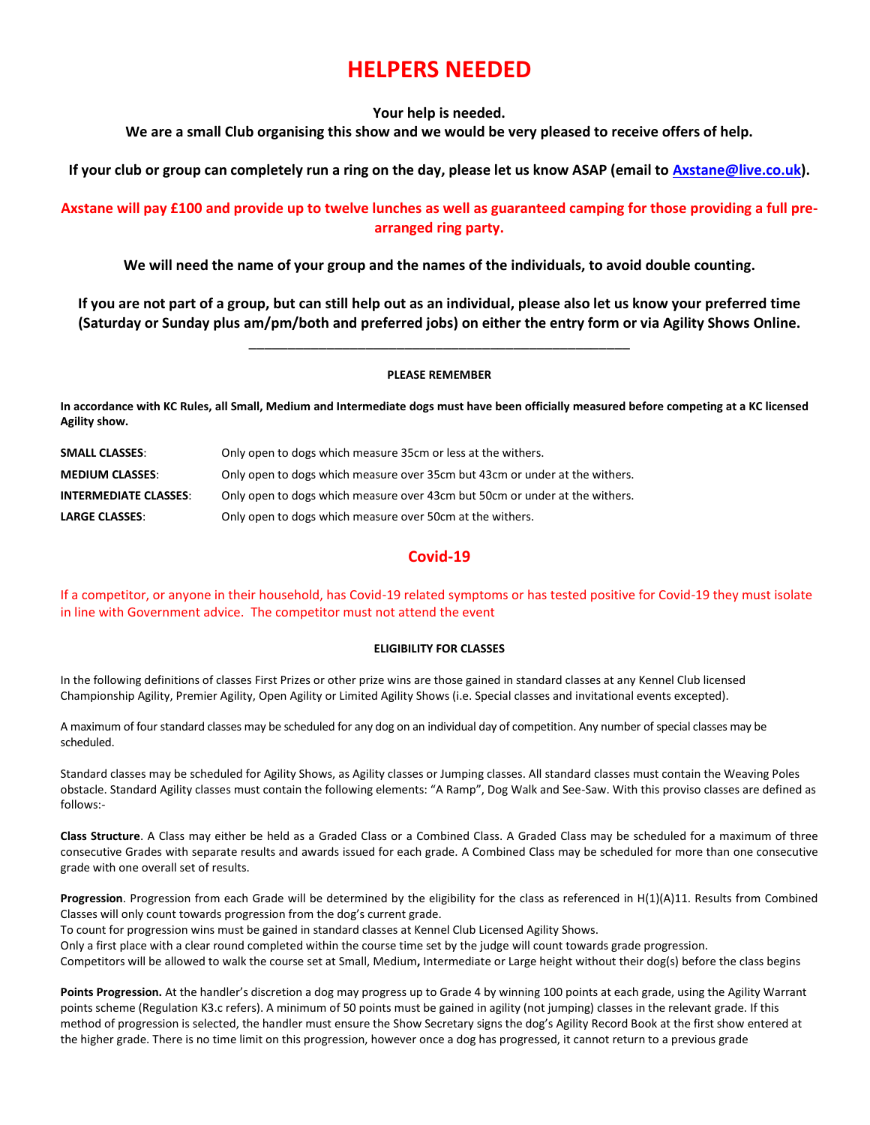# **HELPERS NEEDED**

#### **Your help is needed.**

**We are a small Club organising this show and we would be very pleased to receive offers of help.** 

**If your club or group can completely run a ring on the day, please let us know ASAP (email to [Axstane@live.co.uk\)](mailto:Axstane@live.co.uk).** 

### **Axstane will pay £100 and provide up to twelve lunches as well as guaranteed camping for those providing a full prearranged ring party.**

**We will need the name of your group and the names of the individuals, to avoid double counting.**

**If you are not part of a group, but can still help out as an individual, please also let us know your preferred time (Saturday or Sunday plus am/pm/both and preferred jobs) on either the entry form or via Agility Shows Online.** 

\_\_\_\_\_\_\_\_\_\_\_\_\_\_\_\_\_\_\_\_\_\_\_\_\_\_\_\_\_\_\_\_\_\_\_\_\_\_\_\_\_\_\_\_\_\_\_\_\_

#### **PLEASE REMEMBER**

**In accordance with KC Rules, all Small, Medium and Intermediate dogs must have been officially measured before competing at a KC licensed Agility show.**

| <b>SMALL CLASSES:</b>        | Only open to dogs which measure 35cm or less at the withers.                |
|------------------------------|-----------------------------------------------------------------------------|
| <b>MEDIUM CLASSES:</b>       | Only open to dogs which measure over 35cm but 43cm or under at the withers. |
| <b>INTERMEDIATE CLASSES:</b> | Only open to dogs which measure over 43cm but 50cm or under at the withers. |
| <b>LARGE CLASSES:</b>        | Only open to dogs which measure over 50cm at the withers.                   |

### **Covid-19**

If a competitor, or anyone in their household, has Covid-19 related symptoms or has tested positive for Covid-19 they must isolate in line with Government advice. The competitor must not attend the event

#### **ELIGIBILITY FOR CLASSES**

In the following definitions of classes First Prizes or other prize wins are those gained in standard classes at any Kennel Club licensed Championship Agility, Premier Agility, Open Agility or Limited Agility Shows (i.e. Special classes and invitational events excepted).

A maximum of four standard classes may be scheduled for any dog on an individual day of competition. Any number of special classes may be scheduled.

Standard classes may be scheduled for Agility Shows, as Agility classes or Jumping classes. All standard classes must contain the Weaving Poles obstacle. Standard Agility classes must contain the following elements: "A Ramp", Dog Walk and See-Saw. With this proviso classes are defined as follows:-

**Class Structure**. A Class may either be held as a Graded Class or a Combined Class. A Graded Class may be scheduled for a maximum of three consecutive Grades with separate results and awards issued for each grade. A Combined Class may be scheduled for more than one consecutive grade with one overall set of results.

**Progression**. Progression from each Grade will be determined by the eligibility for the class as referenced in H(1)(A)11. Results from Combined Classes will only count towards progression from the dog's current grade.

To count for progression wins must be gained in standard classes at Kennel Club Licensed Agility Shows. Only a first place with a clear round completed within the course time set by the judge will count towards grade progression. Competitors will be allowed to walk the course set at Small, Medium**,** Intermediate or Large height without their dog(s) before the class begins

**Points Progression.** At the handler's discretion a dog may progress up to Grade 4 by winning 100 points at each grade, using the Agility Warrant points scheme (Regulation K3.c refers). A minimum of 50 points must be gained in agility (not jumping) classes in the relevant grade. If this method of progression is selected, the handler must ensure the Show Secretary signs the dog's Agility Record Book at the first show entered at the higher grade. There is no time limit on this progression, however once a dog has progressed, it cannot return to a previous grade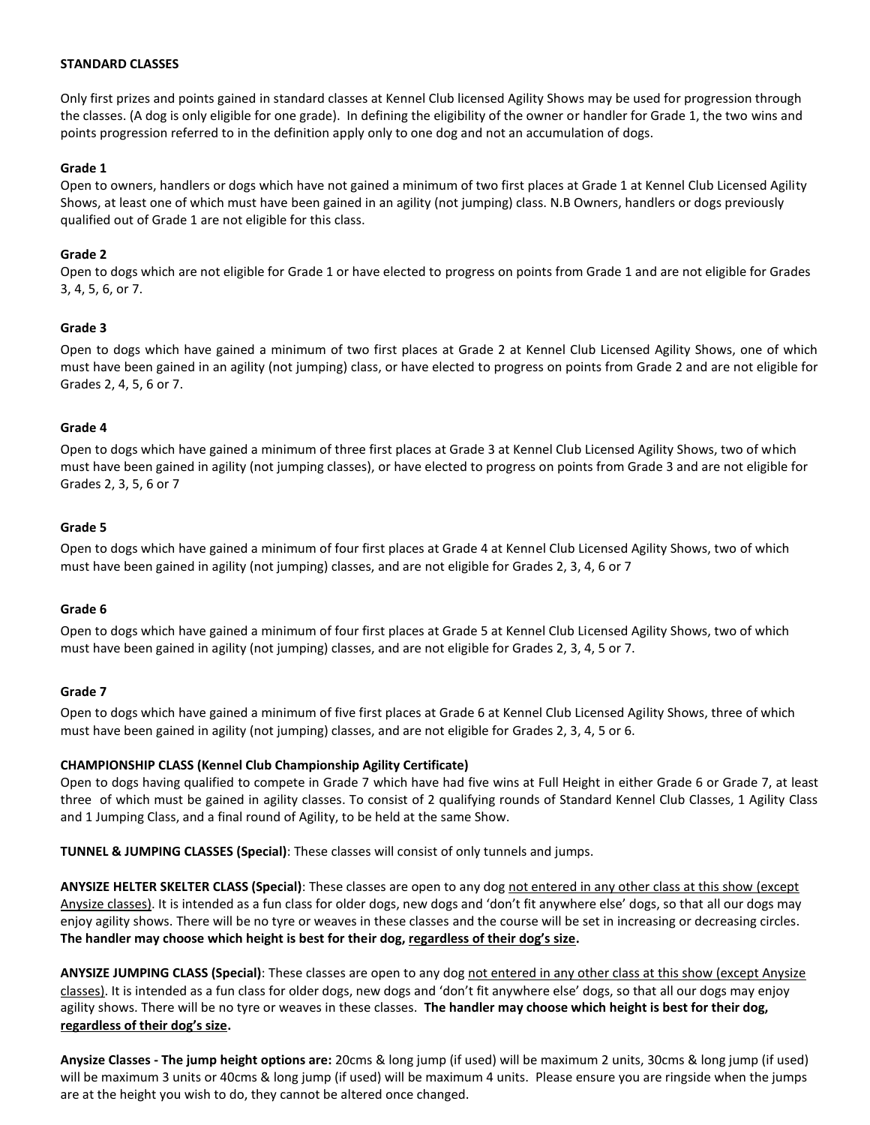#### **STANDARD CLASSES**

Only first prizes and points gained in standard classes at Kennel Club licensed Agility Shows may be used for progression through the classes. (A dog is only eligible for one grade). In defining the eligibility of the owner or handler for Grade 1, the two wins and points progression referred to in the definition apply only to one dog and not an accumulation of dogs.

### **Grade 1**

Open to owners, handlers or dogs which have not gained a minimum of two first places at Grade 1 at Kennel Club Licensed Agility Shows, at least one of which must have been gained in an agility (not jumping) class. N.B Owners, handlers or dogs previously qualified out of Grade 1 are not eligible for this class.

### **Grade 2**

Open to dogs which are not eligible for Grade 1 or have elected to progress on points from Grade 1 and are not eligible for Grades 3, 4, 5, 6, or 7.

### **Grade 3**

Open to dogs which have gained a minimum of two first places at Grade 2 at Kennel Club Licensed Agility Shows, one of which must have been gained in an agility (not jumping) class, or have elected to progress on points from Grade 2 and are not eligible for Grades 2, 4, 5, 6 or 7.

#### **Grade 4**

Open to dogs which have gained a minimum of three first places at Grade 3 at Kennel Club Licensed Agility Shows, two of which must have been gained in agility (not jumping classes), or have elected to progress on points from Grade 3 and are not eligible for Grades 2, 3, 5, 6 or 7

### **Grade 5**

Open to dogs which have gained a minimum of four first places at Grade 4 at Kennel Club Licensed Agility Shows, two of which must have been gained in agility (not jumping) classes, and are not eligible for Grades 2, 3, 4, 6 or 7

#### **Grade 6**

Open to dogs which have gained a minimum of four first places at Grade 5 at Kennel Club Licensed Agility Shows, two of which must have been gained in agility (not jumping) classes, and are not eligible for Grades 2, 3, 4, 5 or 7.

#### **Grade 7**

Open to dogs which have gained a minimum of five first places at Grade 6 at Kennel Club Licensed Agility Shows, three of which must have been gained in agility (not jumping) classes, and are not eligible for Grades 2, 3, 4, 5 or 6.

### **CHAMPIONSHIP CLASS (Kennel Club Championship Agility Certificate)**

Open to dogs having qualified to compete in Grade 7 which have had five wins at Full Height in either Grade 6 or Grade 7, at least three of which must be gained in agility classes. To consist of 2 qualifying rounds of Standard Kennel Club Classes, 1 Agility Class and 1 Jumping Class, and a final round of Agility, to be held at the same Show.

**TUNNEL & JUMPING CLASSES (Special)**: These classes will consist of only tunnels and jumps.

**ANYSIZE HELTER SKELTER CLASS (Special)**: These classes are open to any dog not entered in any other class at this show (except Anysize classes). It is intended as a fun class for older dogs, new dogs and 'don't fit anywhere else' dogs, so that all our dogs may enjoy agility shows. There will be no tyre or weaves in these classes and the course will be set in increasing or decreasing circles. **The handler may choose which height is best for their dog, regardless of their dog's size.** 

**ANYSIZE JUMPING CLASS (Special)**: These classes are open to any dog not entered in any other class at this show (except Anysize classes). It is intended as a fun class for older dogs, new dogs and 'don't fit anywhere else' dogs, so that all our dogs may enjoy agility shows. There will be no tyre or weaves in these classes. **The handler may choose which height is best for their dog, regardless of their dog's size.** 

**Anysize Classes - The jump height options are:** 20cms & long jump (if used) will be maximum 2 units, 30cms & long jump (if used) will be maximum 3 units or 40cms & long jump (if used) will be maximum 4 units. Please ensure you are ringside when the jumps are at the height you wish to do, they cannot be altered once changed.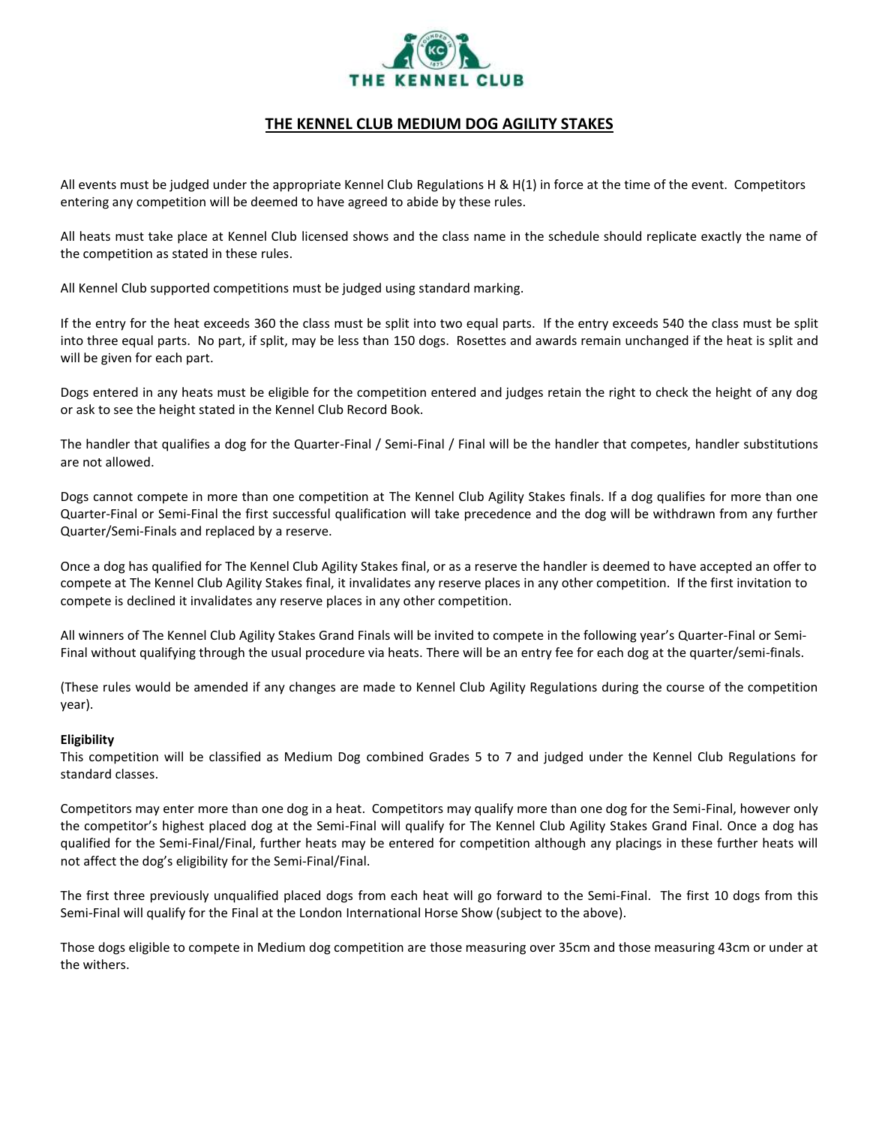

### **THE KENNEL CLUB MEDIUM DOG AGILITY STAKES**

All events must be judged under the appropriate Kennel Club Regulations H & H(1) in force at the time of the event. Competitors entering any competition will be deemed to have agreed to abide by these rules.

All heats must take place at Kennel Club licensed shows and the class name in the schedule should replicate exactly the name of the competition as stated in these rules.

All Kennel Club supported competitions must be judged using standard marking.

If the entry for the heat exceeds 360 the class must be split into two equal parts. If the entry exceeds 540 the class must be split into three equal parts. No part, if split, may be less than 150 dogs. Rosettes and awards remain unchanged if the heat is split and will be given for each part.

Dogs entered in any heats must be eligible for the competition entered and judges retain the right to check the height of any dog or ask to see the height stated in the Kennel Club Record Book.

The handler that qualifies a dog for the Quarter-Final / Semi-Final / Final will be the handler that competes, handler substitutions are not allowed.

Dogs cannot compete in more than one competition at The Kennel Club Agility Stakes finals. If a dog qualifies for more than one Quarter-Final or Semi-Final the first successful qualification will take precedence and the dog will be withdrawn from any further Quarter/Semi-Finals and replaced by a reserve.

Once a dog has qualified for The Kennel Club Agility Stakes final, or as a reserve the handler is deemed to have accepted an offer to compete at The Kennel Club Agility Stakes final, it invalidates any reserve places in any other competition. If the first invitation to compete is declined it invalidates any reserve places in any other competition.

All winners of The Kennel Club Agility Stakes Grand Finals will be invited to compete in the following year's Quarter-Final or Semi-Final without qualifying through the usual procedure via heats. There will be an entry fee for each dog at the quarter/semi-finals.

(These rules would be amended if any changes are made to Kennel Club Agility Regulations during the course of the competition year).

#### **Eligibility**

This competition will be classified as Medium Dog combined Grades 5 to 7 and judged under the Kennel Club Regulations for standard classes.

Competitors may enter more than one dog in a heat. Competitors may qualify more than one dog for the Semi-Final, however only the competitor's highest placed dog at the Semi-Final will qualify for The Kennel Club Agility Stakes Grand Final. Once a dog has qualified for the Semi-Final/Final, further heats may be entered for competition although any placings in these further heats will not affect the dog's eligibility for the Semi-Final/Final.

The first three previously unqualified placed dogs from each heat will go forward to the Semi-Final. The first 10 dogs from this Semi-Final will qualify for the Final at the London International Horse Show (subject to the above).

Those dogs eligible to compete in Medium dog competition are those measuring over 35cm and those measuring 43cm or under at the withers.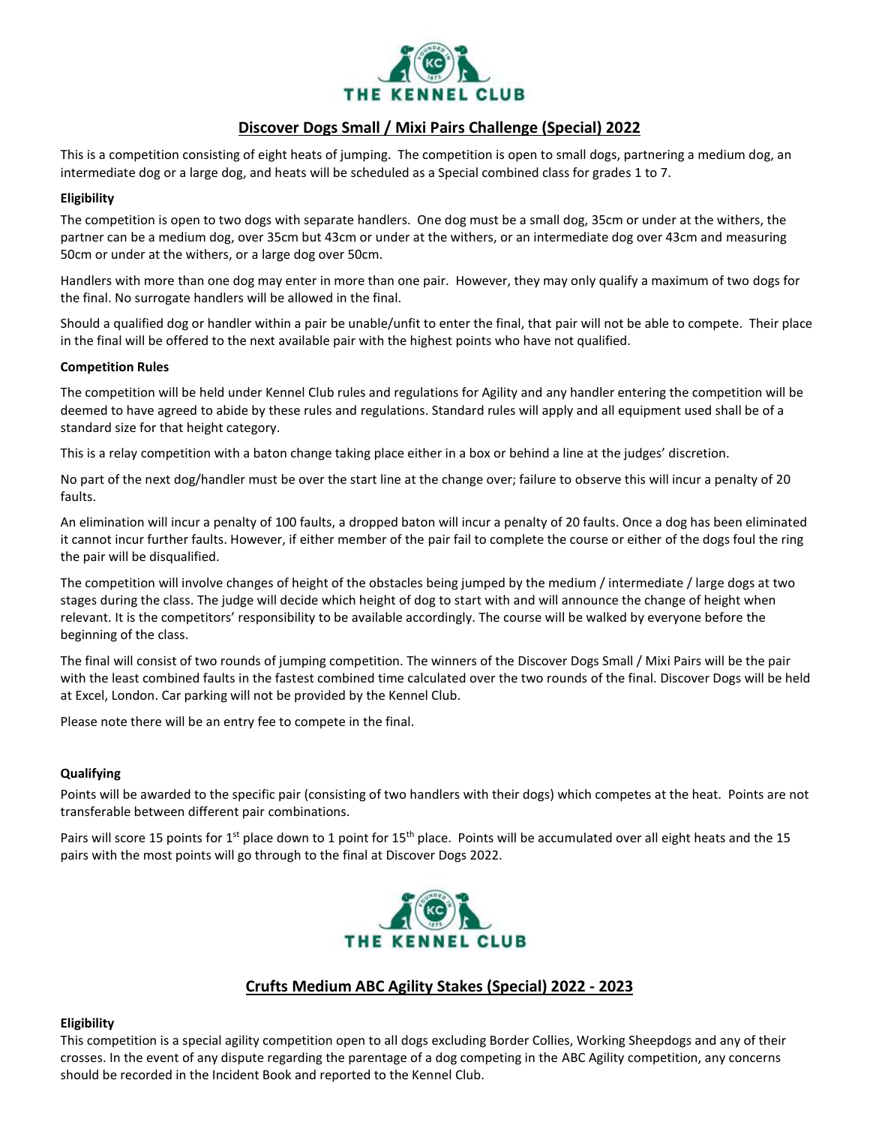

### **Discover Dogs Small / Mixi Pairs Challenge (Special) 2022**

This is a competition consisting of eight heats of jumping. The competition is open to small dogs, partnering a medium dog, an intermediate dog or a large dog, and heats will be scheduled as a Special combined class for grades 1 to 7.

### **Eligibility**

The competition is open to two dogs with separate handlers. One dog must be a small dog, 35cm or under at the withers, the partner can be a medium dog, over 35cm but 43cm or under at the withers, or an intermediate dog over 43cm and measuring 50cm or under at the withers, or a large dog over 50cm.

Handlers with more than one dog may enter in more than one pair. However, they may only qualify a maximum of two dogs for the final. No surrogate handlers will be allowed in the final.

Should a qualified dog or handler within a pair be unable/unfit to enter the final, that pair will not be able to compete. Their place in the final will be offered to the next available pair with the highest points who have not qualified.

### **Competition Rules**

The competition will be held under Kennel Club rules and regulations for Agility and any handler entering the competition will be deemed to have agreed to abide by these rules and regulations. Standard rules will apply and all equipment used shall be of a standard size for that height category.

This is a relay competition with a baton change taking place either in a box or behind a line at the judges' discretion.

No part of the next dog/handler must be over the start line at the change over; failure to observe this will incur a penalty of 20 faults.

An elimination will incur a penalty of 100 faults, a dropped baton will incur a penalty of 20 faults. Once a dog has been eliminated it cannot incur further faults. However, if either member of the pair fail to complete the course or either of the dogs foul the ring the pair will be disqualified.

The competition will involve changes of height of the obstacles being jumped by the medium / intermediate / large dogs at two stages during the class. The judge will decide which height of dog to start with and will announce the change of height when relevant. It is the competitors' responsibility to be available accordingly. The course will be walked by everyone before the beginning of the class.

The final will consist of two rounds of jumping competition. The winners of the Discover Dogs Small / Mixi Pairs will be the pair with the least combined faults in the fastest combined time calculated over the two rounds of the final. Discover Dogs will be held at Excel, London. Car parking will not be provided by the Kennel Club.

Please note there will be an entry fee to compete in the final.

### **Qualifying**

Points will be awarded to the specific pair (consisting of two handlers with their dogs) which competes at the heat. Points are not transferable between different pair combinations.

Pairs will score 15 points for 1<sup>st</sup> place down to 1 point for 15<sup>th</sup> place. Points will be accumulated over all eight heats and the 15 pairs with the most points will go through to the final at Discover Dogs 2022.



### **Crufts Medium ABC Agility Stakes (Special) 2022 - 2023**

#### **Eligibility**

This competition is a special agility competition open to all dogs excluding Border Collies, Working Sheepdogs and any of their crosses. In the event of any dispute regarding the parentage of a dog competing in the ABC Agility competition, any concerns should be recorded in the Incident Book and reported to the Kennel Club.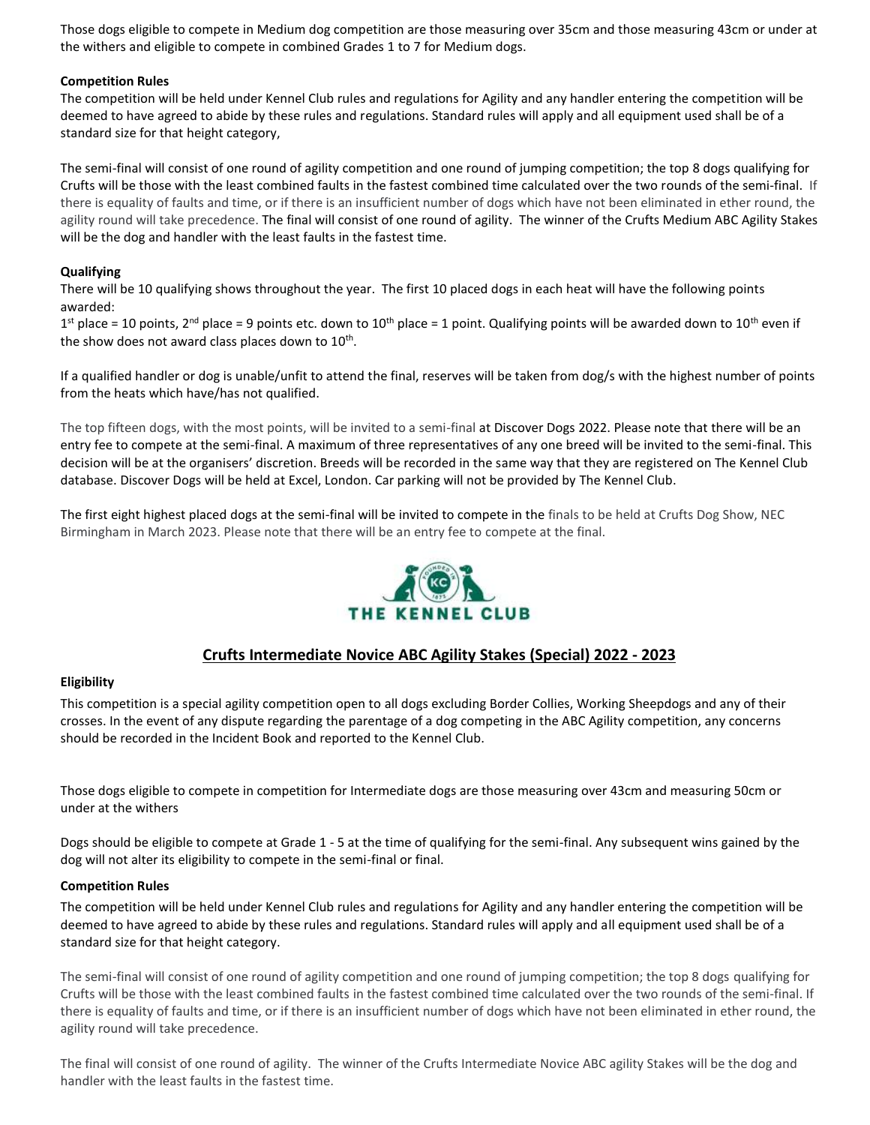Those dogs eligible to compete in Medium dog competition are those measuring over 35cm and those measuring 43cm or under at the withers and eligible to compete in combined Grades 1 to 7 for Medium dogs.

### **Competition Rules**

The competition will be held under Kennel Club rules and regulations for Agility and any handler entering the competition will be deemed to have agreed to abide by these rules and regulations. Standard rules will apply and all equipment used shall be of a standard size for that height category,

The semi-final will consist of one round of agility competition and one round of jumping competition; the top 8 dogs qualifying for Crufts will be those with the least combined faults in the fastest combined time calculated over the two rounds of the semi-final. If there is equality of faults and time, or if there is an insufficient number of dogs which have not been eliminated in ether round, the agility round will take precedence. The final will consist of one round of agility. The winner of the Crufts Medium ABC Agility Stakes will be the dog and handler with the least faults in the fastest time.

### **Qualifying**

There will be 10 qualifying shows throughout the year. The first 10 placed dogs in each heat will have the following points awarded:

 $1<sup>st</sup>$  place = 10 points, 2<sup>nd</sup> place = 9 points etc. down to 10<sup>th</sup> place = 1 point. Qualifying points will be awarded down to 10<sup>th</sup> even if the show does not award class places down to  $10^{\text{th}}$ .

If a qualified handler or dog is unable/unfit to attend the final, reserves will be taken from dog/s with the highest number of points from the heats which have/has not qualified.

The top fifteen dogs, with the most points, will be invited to a semi-final at [Discover](https://www.discoverdogs.org.uk/) Dogs 2022. Please note that there will be an entry fee to compete at the semi-final. A maximum of three representatives of any one breed will be invited to the semi-final. This decision will be at the organisers' discretion. Breeds will be recorded in the same way that they are registered on The [Kennel](https://www.thekennelclub.org.uk/) Club [database.](https://www.thekennelclub.org.uk/) [Discover](https://www.discoverdogs.org.uk/) Dogs will be held at Excel, London. Car parking will not be provided by The [Kennel](https://www.thekennelclub.org.uk/) Club.

The first eight highest placed dogs at the semi-final will be invited to compete in the finals to be held at Crufts Dog Show, NEC Birmingham in March 2023. Please note that there will be an entry fee to compete at the final.



### **Crufts Intermediate Novice ABC Agility Stakes (Special) 2022 - 2023**

### **Eligibility**

This competition is a special agility competition open to all dogs excluding Border Collies, Working Sheepdogs and any of their crosses. In the event of any dispute regarding the parentage of a dog competing in the ABC Agility competition, any concerns should be recorded in the Incident Book and reported to the Kennel Club.

Those dogs eligible to compete in competition for Intermediate dogs are those measuring over 43cm and measuring 50cm or under at the withers

Dogs should be eligible to compete at Grade 1 - 5 at the time of qualifying for the semi-final. Any subsequent wins gained by the dog will not alter its eligibility to compete in the semi-final or final.

### **Competition Rules**

The competition will be held under Kennel Club rules and regulations for Agility and any handler entering the competition will be deemed to have agreed to abide by these rules and regulations. Standard rules will apply and all equipment used shall be of a standard size for that height category.

The semi-final will consist of one round of agility competition and one round of jumping competition; the top 8 dogs qualifying for Crufts will be those with the least combined faults in the fastest combined time calculated over the two rounds of the semi-final. If there is equality of faults and time, or if there is an insufficient number of dogs which have not been eliminated in ether round, the agility round will take precedence.

The final will consist of one round of agility. The winner of the Crufts Intermediate Novice ABC agility Stakes will be the dog and handler with the least faults in the fastest time.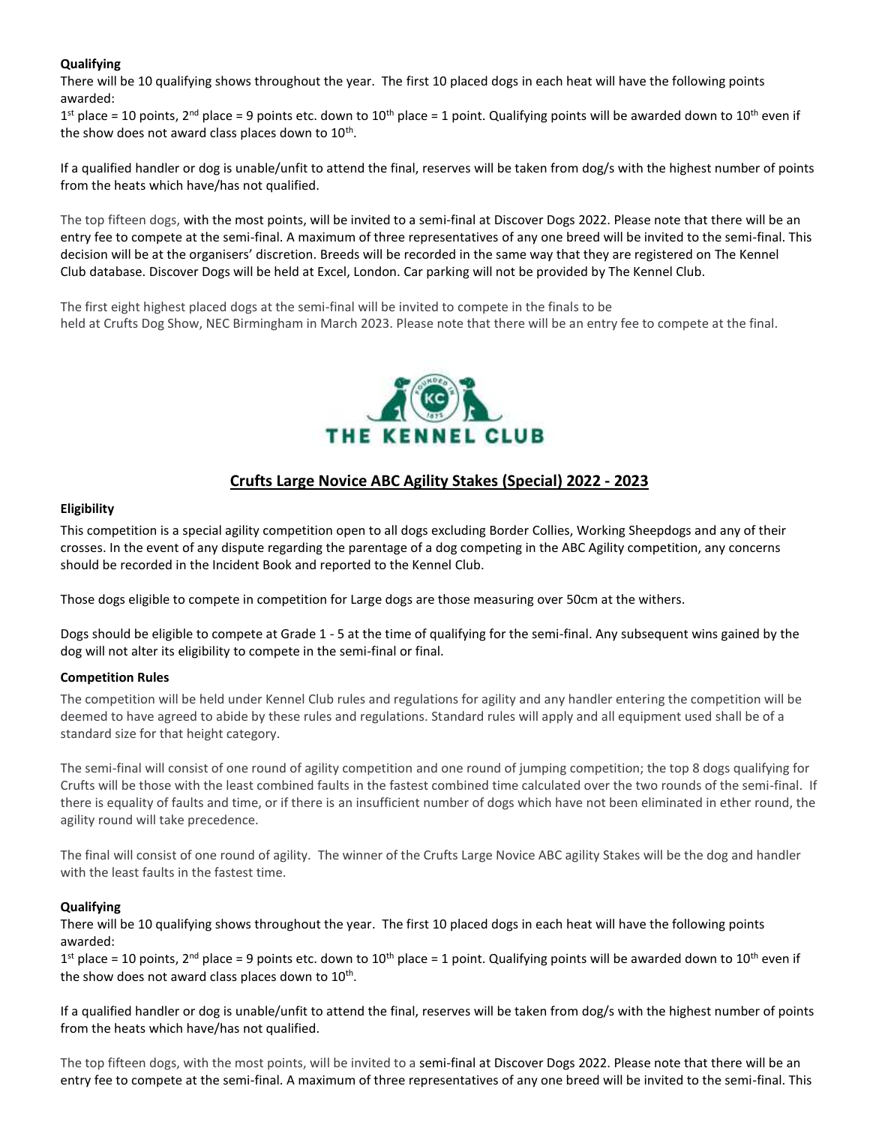### **Qualifying**

There will be 10 qualifying shows throughout the year. The first 10 placed dogs in each heat will have the following points awarded:

1<sup>st</sup> place = 10 points, 2<sup>nd</sup> place = 9 points etc. down to 10<sup>th</sup> place = 1 point. Qualifying points will be awarded down to 10<sup>th</sup> even if the show does not award class places down to  $10^{\text{th}}$ .

If a qualified handler or dog is unable/unfit to attend the final, reserves will be taken from dog/s with the highest number of points from the heats which have/has not qualified.

The top fifteen dogs, with the most points, will be invited to a semi-final at [Discover](https://www.discoverdogs.org.uk/) Dogs 2022. Please note that there will be an entry fee to compete at the semi-final. A maximum of three representatives of any one breed will be invited to the semi-final. This decision will be at the organisers' discretion. Breeds will be recorded in the same way that they are registered on The [Kennel](https://www.thekennelclub.org.uk/) [Club](https://www.thekennelclub.org.uk/) database. [Discover](https://www.discoverdogs.org.uk/) Dogs will be held at Excel, London. Car parking will not be provided by The [Kennel](https://www.thekennelclub.org.uk/) Club.

The first eight highest placed dogs at the semi-final will be invited to compete in the finals to be held at Crufts Dog Show, NEC Birmingham in March 2023. Please note that there will be an entry fee to compete at the final.



### **Crufts Large Novice ABC Agility Stakes (Special) 2022 - 2023**

### **Eligibility**

This competition is a special agility competition open to all dogs excluding Border Collies, Working Sheepdogs and any of their crosses. In the event of any dispute regarding the parentage of a dog competing in the ABC Agility competition, any concerns should be recorded in the Incident Book and reported to the Kennel Club.

Those dogs eligible to compete in competition for Large dogs are those measuring over 50cm at the withers.

Dogs should be eligible to compete at Grade 1 - 5 at the time of qualifying for the semi-final. Any subsequent wins gained by the dog will not alter its eligibility to compete in the semi-final or final.

### **Competition Rules**

The competition will be held under Kennel Club rules and regulations for agility and any handler entering the competition will be deemed to have agreed to abide by these rules and regulations. Standard rules will apply and all equipment used shall be of a standard size for that height category.

The semi-final will consist of one round of agility competition and one round of jumping competition; the top 8 dogs qualifying for Crufts will be those with the least combined faults in the fastest combined time calculated over the two rounds of the semi-final. If there is equality of faults and time, or if there is an insufficient number of dogs which have not been eliminated in ether round, the agility round will take precedence.

The final will consist of one round of agility. The winner of the Crufts Large Novice ABC agility Stakes will be the dog and handler with the least faults in the fastest time.

### **Qualifying**

There will be 10 qualifying shows throughout the year. The first 10 placed dogs in each heat will have the following points awarded:

 $1<sup>st</sup>$  place = 10 points, 2<sup>nd</sup> place = 9 points etc. down to 10<sup>th</sup> place = 1 point. Qualifying points will be awarded down to 10<sup>th</sup> even if the show does not award class places down to  $10^{\text{th}}$ .

If a qualified handler or dog is unable/unfit to attend the final, reserves will be taken from dog/s with the highest number of points from the heats which have/has not qualified.

The top fifteen dogs, with the most points, will be invited to a semi-final at [Discover](https://www.discoverdogs.org.uk/) Dogs 2022. Please note that there will be an entry fee to compete at the semi-final. A maximum of three representatives of any one breed will be invited to the semi-final. This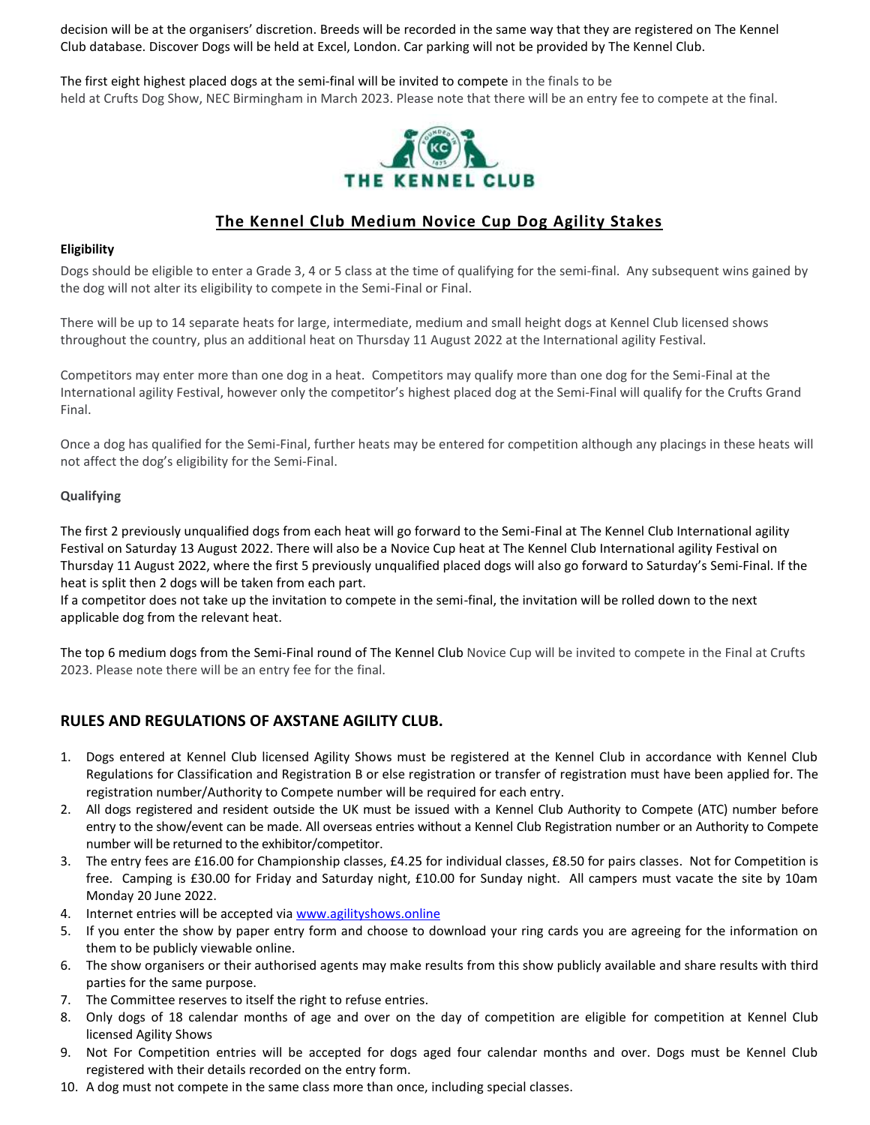decision will be at the organisers' discretion. Breeds will be recorded in the same way that they are registered on The [Kennel](https://www.thekennelclub.org.uk/) [Club](https://www.thekennelclub.org.uk/) database. [Discover](https://www.discoverdogs.org.uk/) Dogs will be held at Excel, London. Car parking will not be provided by The [Kennel](https://www.thekennelclub.org.uk/) Club.

The first eight highest placed dogs at the semi-final will be invited to compete in the finals to be held at Crufts Dog Show, NEC Birmingham in March 2023. Please note that there will be an entry fee to compete at the final.



### **The Kennel Club Medium Novice Cup Dog Agility Stakes**

### **Eligibility**

Dogs should be eligible to enter a Grade 3, 4 or 5 class at the time of qualifying for the semi-final. Any subsequent wins gained by the dog will not alter its eligibility to compete in the Semi-Final or Final.

There will be up to 14 separate heats for large, intermediate, medium and small height dogs at Kennel Club licensed shows throughout the country, plus an additional heat on Thursday 11 August 2022 at the International agility Festival.

Competitors may enter more than one dog in a heat. Competitors may qualify more than one dog for the Semi-Final at the International agility Festival, however only the competitor's highest placed dog at the Semi-Final will qualify for the Crufts Grand Final.

Once a dog has qualified for the Semi-Final, further heats may be entered for competition although any placings in these heats will not affect the dog's eligibility for the Semi-Final.

### **Qualifying**

The first 2 previously unqualified dogs from each heat will go forward to the Semi-Final at The [Kennel](https://www.thekennelclub.org.uk/) Club International agility Festival on Saturday 13 August 2022. There will also be a Novice Cup heat at The [Kennel](https://www.thekennelclub.org.uk/) Club International agility Festival on Thursday 11 August 2022, where the first 5 previously unqualified placed dogs will also go forward to Saturday's Semi-Final. If the heat is split then 2 dogs will be taken from each part.

If a competitor does not take up the invitation to compete in the semi-final, the invitation will be rolled down to the next applicable dog from the relevant heat.

The top 6 medium dogs from the Semi-Final round of The [Kennel](https://www.thekennelclub.org.uk/) Club Novice Cup will be invited to compete in the Final at Crufts 2023. Please note there will be an entry fee for the final.

### **RULES AND REGULATIONS OF AXSTANE AGILITY CLUB.**

- 1. Dogs entered at Kennel Club licensed Agility Shows must be registered at the Kennel Club in accordance with Kennel Club Regulations for Classification and Registration B or else registration or transfer of registration must have been applied for. The registration number/Authority to Compete number will be required for each entry.
- 2. All dogs registered and resident outside the UK must be issued with a Kennel Club Authority to Compete (ATC) number before entry to the show/event can be made. All overseas entries without a Kennel Club Registration number or an Authority to Compete number will be returned to the exhibitor/competitor.
- 3. The entry fees are £16.00 for Championship classes, £4.25 for individual classes, £8.50 for pairs classes. Not for Competition is free. Camping is £30.00 for Friday and Saturday night, £10.00 for Sunday night. All campers must vacate the site by 10am Monday 20 June 2022.
- 4. Internet entries will be accepted vi[a www.agilityshows.online](http://www.agilityshows.online/)
- 5. If you enter the show by paper entry form and choose to download your ring cards you are agreeing for the information on them to be publicly viewable online.
- 6. The show organisers or their authorised agents may make results from this show publicly available and share results with third parties for the same purpose.
- 7. The Committee reserves to itself the right to refuse entries.
- 8. Only dogs of 18 calendar months of age and over on the day of competition are eligible for competition at Kennel Club licensed Agility Shows
- 9. Not For Competition entries will be accepted for dogs aged four calendar months and over. Dogs must be Kennel Club registered with their details recorded on the entry form.
- 10. A dog must not compete in the same class more than once, including special classes.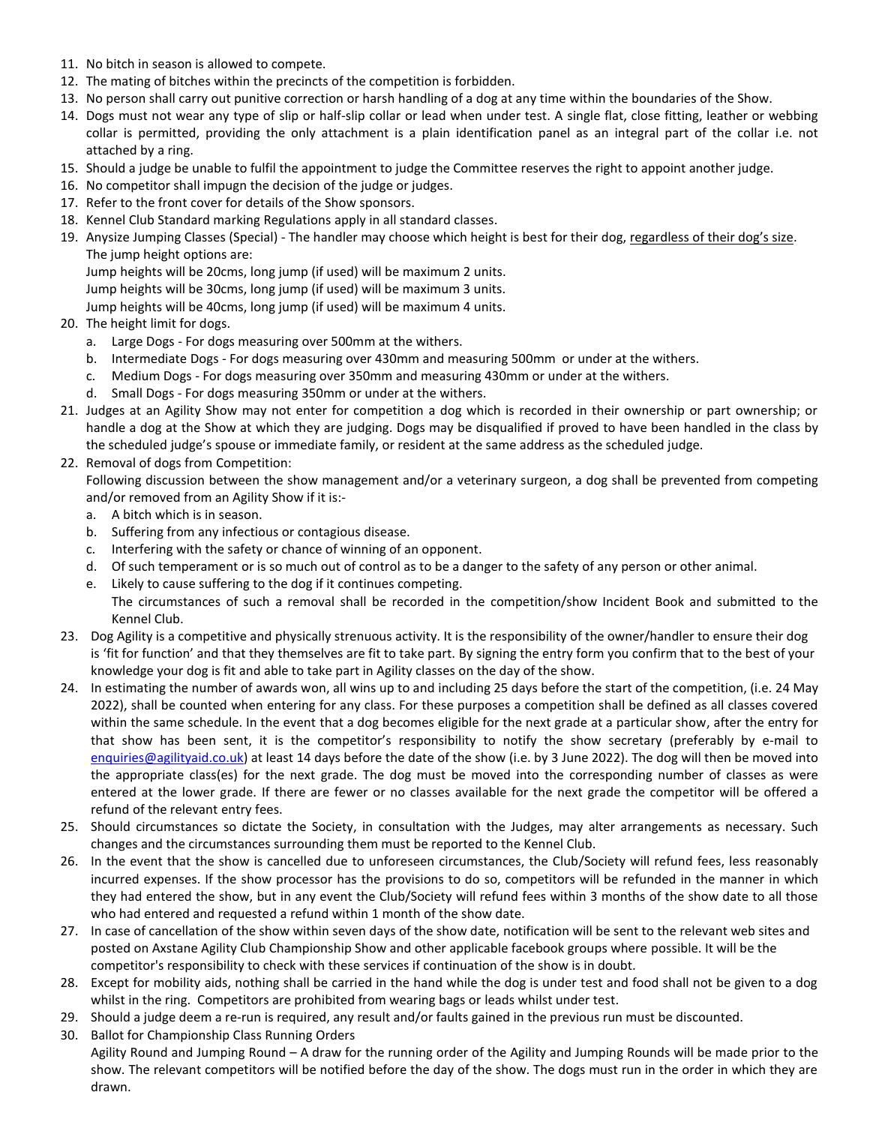- 11. No bitch in season is allowed to compete.
- 12. The mating of bitches within the precincts of the competition is forbidden.
- 13. No person shall carry out punitive correction or harsh handling of a dog at any time within the boundaries of the Show.
- 14. Dogs must not wear any type of slip or half-slip collar or lead when under test. A single flat, close fitting, leather or webbing collar is permitted, providing the only attachment is a plain identification panel as an integral part of the collar i.e. not attached by a ring.
- 15. Should a judge be unable to fulfil the appointment to judge the Committee reserves the right to appoint another judge.
- 16. No competitor shall impugn the decision of the judge or judges.
- 17. Refer to the front cover for details of the Show sponsors.
- 18. Kennel Club Standard marking Regulations apply in all standard classes.
- 19. Anysize Jumping Classes (Special) The handler may choose which height is best for their dog, regardless of their dog's size. The jump height options are:

Jump heights will be 20cms, long jump (if used) will be maximum 2 units.

Jump heights will be 30cms, long jump (if used) will be maximum 3 units.

Jump heights will be 40cms, long jump (if used) will be maximum 4 units.

- 20. The height limit for dogs.
	- a. Large Dogs For dogs measuring over 500mm at the withers.
	- b. Intermediate Dogs For dogs measuring over 430mm and measuring 500mm or under at the withers.
	- c. Medium Dogs For dogs measuring over 350mm and measuring 430mm or under at the withers.
	- d. Small Dogs For dogs measuring 350mm or under at the withers.
- 21. Judges at an Agility Show may not enter for competition a dog which is recorded in their ownership or part ownership; or handle a dog at the Show at which they are judging. Dogs may be disqualified if proved to have been handled in the class by the scheduled judge's spouse or immediate family, or resident at the same address as the scheduled judge.
- 22. Removal of dogs from Competition:

Following discussion between the show management and/or a veterinary surgeon, a dog shall be prevented from competing and/or removed from an Agility Show if it is:-

- a. A bitch which is in season.
- b. Suffering from any infectious or contagious disease.
- c. Interfering with the safety or chance of winning of an opponent.
- d. Of such temperament or is so much out of control as to be a danger to the safety of any person or other animal.
- e. Likely to cause suffering to the dog if it continues competing. The circumstances of such a removal shall be recorded in the competition/show Incident Book and submitted to the Kennel Club.
- 23. Dog Agility is a competitive and physically strenuous activity. It is the responsibility of the owner/handler to ensure their dog is 'fit for function' and that they themselves are fit to take part. By signing the entry form you confirm that to the best of your knowledge your dog is fit and able to take part in Agility classes on the day of the show.
- 24. In estimating the number of awards won, all wins up to and including 25 days before the start of the competition, (i.e. 24 May 2022), shall be counted when entering for any class. For these purposes a competition shall be defined as all classes covered within the same schedule. In the event that a dog becomes eligible for the next grade at a particular show, after the entry for that show has been sent, it is the competitor's responsibility to notify the show secretary (preferably by e-mail to [enquiries@agilityaid.co.uk\)](mailto:enquiries@agilityaid.co.uk) at least 14 days before the date of the show (i.e. by 3 June 2022). The dog will then be moved into the appropriate class(es) for the next grade. The dog must be moved into the corresponding number of classes as were entered at the lower grade. If there are fewer or no classes available for the next grade the competitor will be offered a refund of the relevant entry fees.
- 25. Should circumstances so dictate the Society, in consultation with the Judges, may alter arrangements as necessary. Such changes and the circumstances surrounding them must be reported to the Kennel Club.
- 26. In the event that the show is cancelled due to unforeseen circumstances, the Club/Society will refund fees, less reasonably incurred expenses. If the show processor has the provisions to do so, competitors will be refunded in the manner in which they had entered the show, but in any event the Club/Society will refund fees within 3 months of the show date to all those who had entered and requested a refund within 1 month of the show date.
- 27. In case of cancellation of the show within seven days of the show date, notification will be sent to the relevant web sites and posted on Axstane Agility Club Championship Show and other applicable facebook groups where possible. It will be the competitor's responsibility to check with these services if continuation of the show is in doubt.
- 28. Except for mobility aids, nothing shall be carried in the hand while the dog is under test and food shall not be given to a dog whilst in the ring. Competitors are prohibited from wearing bags or leads whilst under test.
- 29. Should a judge deem a re-run is required, any result and/or faults gained in the previous run must be discounted.
- 30. Ballot for Championship Class Running Orders

 Agility Round and Jumping Round – A draw for the running order of the Agility and Jumping Rounds will be made prior to the show. The relevant competitors will be notified before the day of the show. The dogs must run in the order in which they are drawn.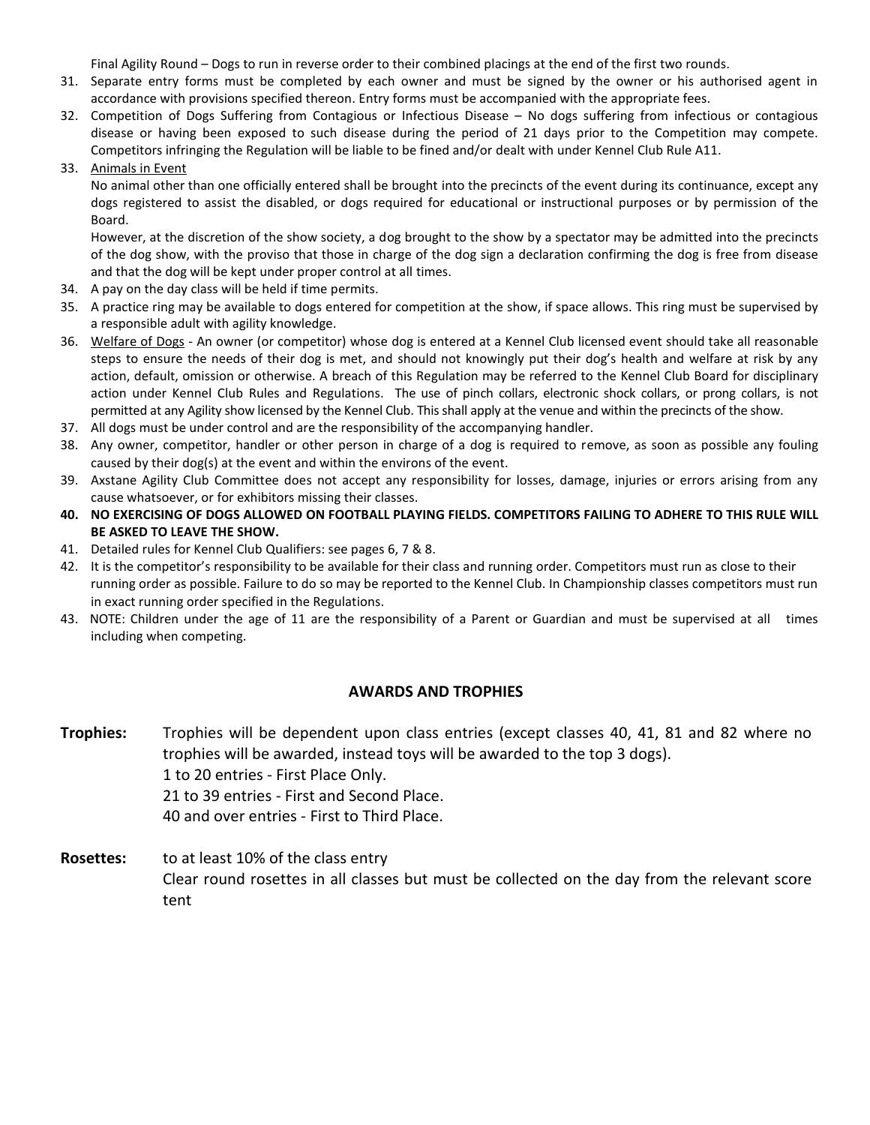Final Agility Round – Dogs to run in reverse order to their combined placings at the end of the first two rounds.

- 31. Separate entry forms must be completed by each owner and must be signed by the owner or his authorised agent in accordance with provisions specified thereon. Entry forms must be accompanied with the appropriate fees.
- 32. Competition of Dogs Suffering from Contagious or Infectious Disease No dogs suffering from infectious or contagious disease or having been exposed to such disease during the period of 21 days prior to the Competition may compete. Competitors infringing the Regulation will be liable to be fined and/or dealt with under Kennel Club Rule A11.
- 33. Animals in Event

 No animal other than one officially entered shall be brought into the precincts of the event during its continuance, except any dogs registered to assist the disabled, or dogs required for educational or instructional purposes or by permission of the Board.

 However, at the discretion of the show society, a dog brought to the show by a spectator may be admitted into the precincts of the dog show, with the proviso that those in charge of the dog sign a declaration confirming the dog is free from disease and that the dog will be kept under proper control at all times.

- 34. A pay on the day class will be held if time permits.
- 35. A practice ring may be available to dogs entered for competition at the show, if space allows. This ring must be supervised by a responsible adult with agility knowledge.
- 36. Welfare of Dogs An owner (or competitor) whose dog is entered at a Kennel Club licensed event should take all reasonable steps to ensure the needs of their dog is met, and should not knowingly put their dog's health and welfare at risk by any action, default, omission or otherwise. A breach of this Regulation may be referred to the Kennel Club Board for disciplinary action under Kennel Club Rules and Regulations. The use of pinch collars, electronic shock collars, or prong collars, is not permitted at any Agility show licensed by the Kennel Club. This shall apply at the venue and within the precincts of the show.
- 37. All dogs must be under control and are the responsibility of the accompanying handler.
- 38. Any owner, competitor, handler or other person in charge of a dog is required to remove, as soon as possible any fouling caused by their dog(s) at the event and within the environs of the event.
- 39. Axstane Agility Club Committee does not accept any responsibility for losses, damage, injuries or errors arising from any cause whatsoever, or for exhibitors missing their classes.
- **40. NO EXERCISING OF DOGS ALLOWED ON FOOTBALL PLAYING FIELDS. COMPETITORS FAILING TO ADHERE TO THIS RULE WILL BE ASKED TO LEAVE THE SHOW.**
- 41. Detailed rules for Kennel Club Qualifiers: see pages 6, 7 & 8.
- 42. It is the competitor's responsibility to be available for their class and running order. Competitors must run as close to their running order as possible. Failure to do so may be reported to the Kennel Club. In Championship classes competitors must run in exact running order specified in the Regulations.
- 43. NOTE: Children under the age of 11 are the responsibility of a Parent or Guardian and must be supervised at all times including when competing.

### **AWARDS AND TROPHIES**

- **Trophies:** Trophies will be dependent upon class entries (except classes 40, 41, 81 and 82 where no trophies will be awarded, instead toys will be awarded to the top 3 dogs). 1 to 20 entries - First Place Only. 21 to 39 entries - First and Second Place. 40 and over entries - First to Third Place.
- **Rosettes:** to at least 10% of the class entry Clear round rosettes in all classes but must be collected on the day from the relevant score tent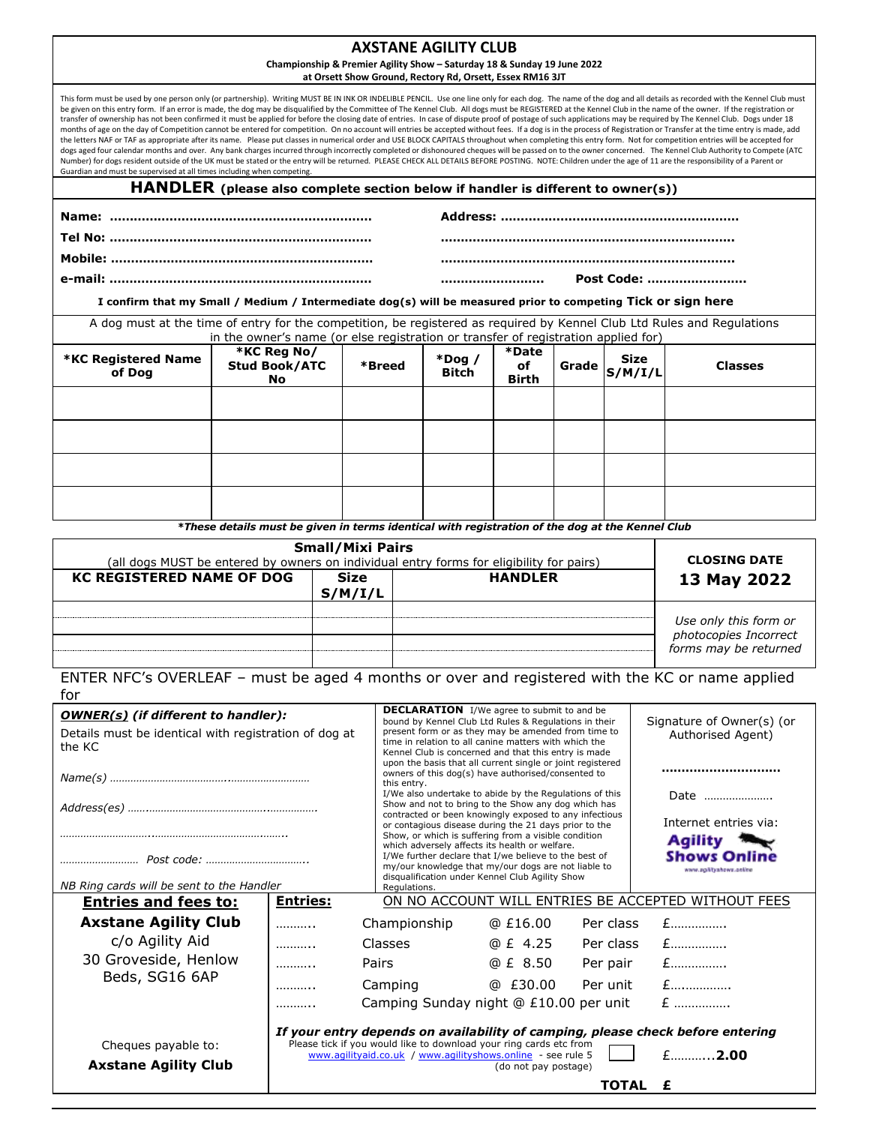#### **AXSTANE AGILITY CLUB**

### **Championship & Premier Agility Show – Saturday 18 & Sunday 19 June 2022**

**at Orsett Show Ground, Rectory Rd, Orsett, Essex RM16 3JT**

This form must be used by one person only (or partnership). Writing MUST BE IN INK OR INDELIBLE PENCIL. Use one line only for each dog. The name of the dog and all details as recorded with the Kennel Club must be given on this entry form. If an error is made, the dog may be disqualified by the Committee of The Kennel Club. All dogs must be REGISTERED at the Kennel Club in the name of the owner. If the registration or transfer of ownership has not been confirmed it must be applied for before the closing date of entries. In case of dispute proof of postage of such applications may be required by The Kennel Club. Dogs under 18 months of age on the day of Competition cannot be entered for competition. On no account will entries be accepted without fees. If a dog is in the process of Registration or Transfer at the time entry is made, add<br>the lett dogs aged four calendar months and over. Any bank charges incurred through incorrectly completed or dishonoured cheques will be passed on to the owner concerned. The Kennel Club Authority to Compete (ATC Number) for dogs resident outside of the UK must be stated or the entry will be returned. PLEASE CHECK ALL DETAILS BEFORE POSTING. NOTE: Children under the age of 11 are the responsibility of a Parent or Guardian and must be supervised at all times including when competing. **HANDLER (please also complete section below if handler is different to owner(s)) Name: ………………………………………………………… Tel No: ………………………………………………………… Mobile: ………………………………………………………… e-mail: ………………………………………………………… Address: …………………………………………………… ……………………………………………………………….. ……………………………………………………………….. …………………….. Post Code: …………………….** A dog must at the time of entry for the competition, be registered as required by Kennel Club Ltd Rules and Regulations **I confirm that my Small / Medium / Intermediate dog(s) will be measured prior to competing Tick or sign here**

|                                                                                                 | in the owner's name (or else registration or transfer of registration applied for) |        |                           |                             |       |                 |                |
|-------------------------------------------------------------------------------------------------|------------------------------------------------------------------------------------|--------|---------------------------|-----------------------------|-------|-----------------|----------------|
| <b>*KC Registered Name</b><br>of Dog                                                            | *KC Reg No/<br><b>Stud Book/ATC</b><br>No.                                         | *Breed | $*$ Dog /<br><b>Bitch</b> | *Date<br>оf<br><b>Birth</b> | Grade | Size<br>S/M/I/L | <b>Classes</b> |
|                                                                                                 |                                                                                    |        |                           |                             |       |                 |                |
|                                                                                                 |                                                                                    |        |                           |                             |       |                 |                |
|                                                                                                 |                                                                                    |        |                           |                             |       |                 |                |
|                                                                                                 |                                                                                    |        |                           |                             |       |                 |                |
| *These details must be given in terms identical with registration of the dog at the Kennel Club |                                                                                    |        |                           |                             |       |                 |                |

| <b>Small/Mixi Pairs</b><br>(all dogs MUST be entered by owners on individual entry forms for eligibility for pairs) | <b>CLOSING DATE</b>                      |  |                                                |  |
|---------------------------------------------------------------------------------------------------------------------|------------------------------------------|--|------------------------------------------------|--|
| <b>KC REGISTERED NAME OF DOG</b>                                                                                    | <b>HANDLER</b><br><b>Size</b><br>S/M/I/L |  |                                                |  |
|                                                                                                                     |                                          |  | Use only this form or                          |  |
|                                                                                                                     |                                          |  | photocopies Incorrect<br>forms may be returned |  |

ENTER NFC's OVERLEAF – must be aged 4 months or over and registered with the KC or name applied  $for$ 

| .                                                                                                             |                                                                                                                                                                                                                                                                                    |                                                                                                                                                                                                                                                                                                                             |                                                                                                                                                                 |           |                                                     |
|---------------------------------------------------------------------------------------------------------------|------------------------------------------------------------------------------------------------------------------------------------------------------------------------------------------------------------------------------------------------------------------------------------|-----------------------------------------------------------------------------------------------------------------------------------------------------------------------------------------------------------------------------------------------------------------------------------------------------------------------------|-----------------------------------------------------------------------------------------------------------------------------------------------------------------|-----------|-----------------------------------------------------|
| <b>OWNER(s)</b> (if different to handler):<br>Details must be identical with registration of dog at<br>the KC | <b>DECLARATION</b> I/We agree to submit to and be<br>bound by Kennel Club Ltd Rules & Regulations in their<br>present form or as they may be amended from time to<br>time in relation to all canine matters with which the<br>Kennel Club is concerned and that this entry is made |                                                                                                                                                                                                                                                                                                                             | Signature of Owner(s) (or<br>Authorised Agent)                                                                                                                  |           |                                                     |
|                                                                                                               | upon the basis that all current single or joint registered<br>owners of this dog(s) have authorised/consented to<br>this entry.<br>I/We also undertake to abide by the Regulations of this                                                                                         |                                                                                                                                                                                                                                                                                                                             | <br>Date                                                                                                                                                        |           |                                                     |
|                                                                                                               |                                                                                                                                                                                                                                                                                    | Show and not to bring to the Show any dog which has<br>contracted or been knowingly exposed to any infectious<br>Internet entries via:<br>or contagious disease during the 21 days prior to the<br>Show, or which is suffering from a visible condition<br><b>Agility</b><br>which adversely affects its health or welfare. |                                                                                                                                                                 |           |                                                     |
| NB Ring cards will be sent to the Handler                                                                     |                                                                                                                                                                                                                                                                                    | Requlations.                                                                                                                                                                                                                                                                                                                | I/We further declare that I/we believe to the best of<br>my/our knowledge that my/our dogs are not liable to<br>disqualification under Kennel Club Agility Show |           | <b>Shows Online</b><br>www.ag/Vtyshows.online       |
| <b>Entries and fees to:</b>                                                                                   | <b>Entries:</b>                                                                                                                                                                                                                                                                    |                                                                                                                                                                                                                                                                                                                             |                                                                                                                                                                 |           | ON NO ACCOUNT WILL ENTRIES BE ACCEPTED WITHOUT FEES |
| <b>Axstane Agility Club</b>                                                                                   | .                                                                                                                                                                                                                                                                                  | Championship                                                                                                                                                                                                                                                                                                                | @ £16.00                                                                                                                                                        | Per class | $E$                                                 |
| c/o Agility Aid                                                                                               | .                                                                                                                                                                                                                                                                                  | Classes                                                                                                                                                                                                                                                                                                                     | @ £ 4.25                                                                                                                                                        | Per class | $E$                                                 |
| 30 Groveside, Henlow                                                                                          | .                                                                                                                                                                                                                                                                                  | Pairs                                                                                                                                                                                                                                                                                                                       | @ £ 8.50                                                                                                                                                        | Per pair  | $E$                                                 |
| Beds, SG16 6AP                                                                                                | .                                                                                                                                                                                                                                                                                  | Camping                                                                                                                                                                                                                                                                                                                     | @E30.00                                                                                                                                                         | Per unit  | $E$                                                 |
|                                                                                                               |                                                                                                                                                                                                                                                                                    | Camping Sunday night @ £10.00 per unit                                                                                                                                                                                                                                                                                      |                                                                                                                                                                 |           | $E$                                                 |
| Cheques payable to:<br><b>Axstane Agility Club</b>                                                            | If your entry depends on availability of camping, please check before entering<br>Please tick if you would like to download your ring cards etc from<br>www.agilityaid.co.uk / www.agilityshows.online - see rule 5<br>(do not pay postage)                                        |                                                                                                                                                                                                                                                                                                                             |                                                                                                                                                                 |           | $f$ <sub>1</sub> 2.00                               |
|                                                                                                               |                                                                                                                                                                                                                                                                                    |                                                                                                                                                                                                                                                                                                                             |                                                                                                                                                                 | TOTAL     | £                                                   |
|                                                                                                               |                                                                                                                                                                                                                                                                                    |                                                                                                                                                                                                                                                                                                                             |                                                                                                                                                                 |           |                                                     |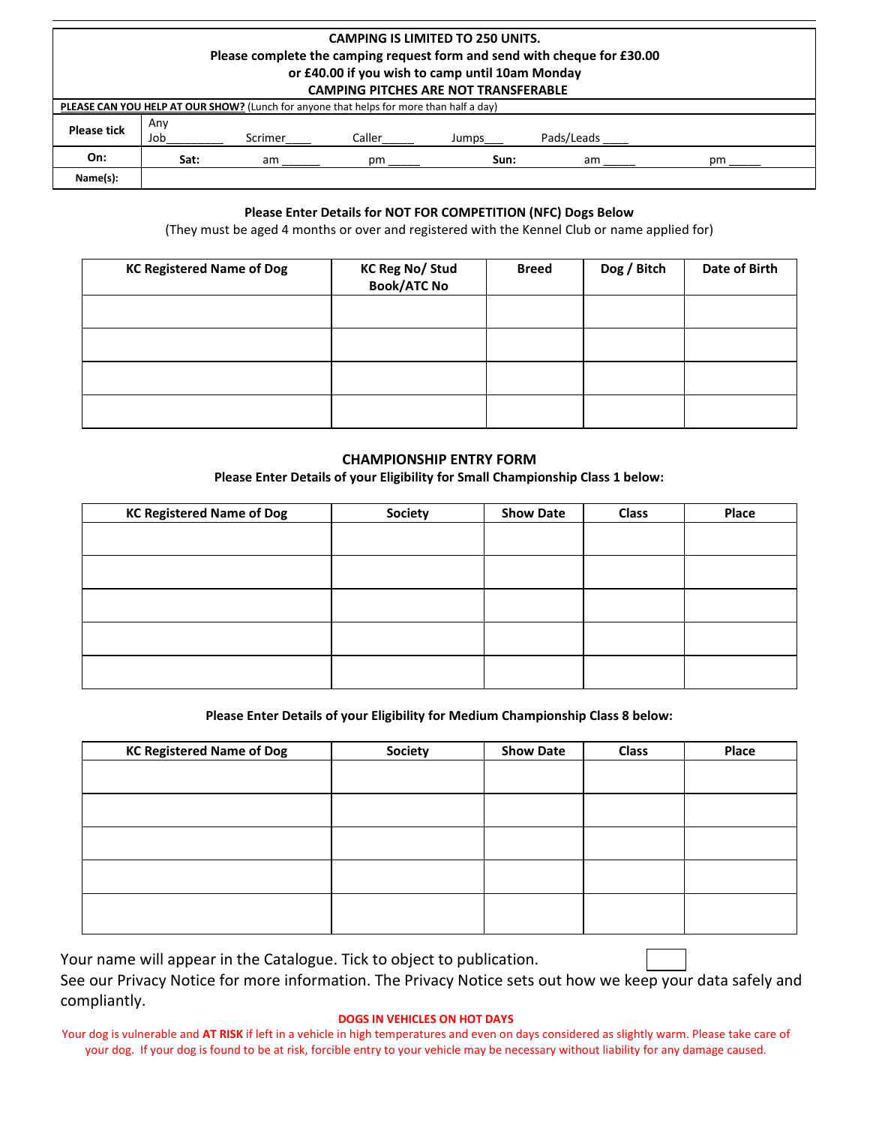## **CAMPING IS LIMITED TO 250 UNITS. Please complete the camping request form and send with cheque for £30.00 or £40.00 if you wish to camp until 10am Monday**

|                    | <b>CAMPING PITCHES ARE NOT TRANSFERABLE</b> |         |                                                                                         |       |            |    |  |
|--------------------|---------------------------------------------|---------|-----------------------------------------------------------------------------------------|-------|------------|----|--|
|                    |                                             |         | PLEASE CAN YOU HELP AT OUR SHOW? (Lunch for anyone that helps for more than half a day) |       |            |    |  |
|                    | Anv                                         |         |                                                                                         |       |            |    |  |
| <b>Please tick</b> | Job                                         | Scrimer | Caller                                                                                  | Jumps | Pads/Leads |    |  |
| On:                | Sat:                                        | am      | рm                                                                                      | Sun:  | am         | рm |  |
| Name(s):           |                                             |         |                                                                                         |       |            |    |  |

### **Please Enter Details for NOT FOR COMPETITION (NFC) Dogs Below**

(They must be aged 4 months or over and registered with the Kennel Club or name applied for)

| <b>KC Registered Name of Dog</b> | <b>KC Reg No/Stud</b><br><b>Book/ATC No</b> | <b>Breed</b> | Dog / Bitch | Date of Birth |
|----------------------------------|---------------------------------------------|--------------|-------------|---------------|
|                                  |                                             |              |             |               |
|                                  |                                             |              |             |               |
|                                  |                                             |              |             |               |
|                                  |                                             |              |             |               |

### **CHAMPIONSHIP ENTRY FORM**

**Please Enter Details of your Eligibility for Small Championship Class 1 below:**

| <b>KC Registered Name of Dog</b> | <b>Society</b> | <b>Show Date</b> | <b>Class</b> | Place |
|----------------------------------|----------------|------------------|--------------|-------|
|                                  |                |                  |              |       |
|                                  |                |                  |              |       |
|                                  |                |                  |              |       |
|                                  |                |                  |              |       |
|                                  |                |                  |              |       |
|                                  |                |                  |              |       |
|                                  |                |                  |              |       |
|                                  |                |                  |              |       |
|                                  |                |                  |              |       |
|                                  |                |                  |              |       |

### **Please Enter Details of your Eligibility for Medium Championship Class 8 below:**

| <b>KC Registered Name of Dog</b> | <b>Society</b> | <b>Show Date</b> | Class | Place |
|----------------------------------|----------------|------------------|-------|-------|
|                                  |                |                  |       |       |
|                                  |                |                  |       |       |
|                                  |                |                  |       |       |
|                                  |                |                  |       |       |
|                                  |                |                  |       |       |

Your name will appear in the Catalogue. Tick to object to publication. See our Privacy Notice for more information. The Privacy Notice sets out how we keep your data safely and compliantly.

#### **DOGS IN VEHICLES ON HOT DAYS**

Your dog is vulnerable and **AT RISK** if left in a vehicle in high temperatures and even on days considered as slightly warm. Please take care of your dog. If your dog is found to be at risk, forcible entry to your vehicle may be necessary without liability for any damage caused.